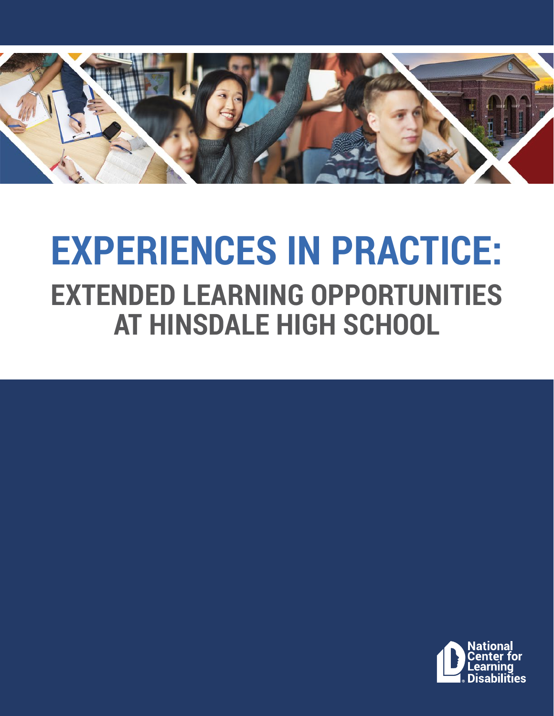

# **EXPERIENCES IN PRACTICE: EXTENDED LEARNING OPPORTUNITIES AT HINSDALE HIGH SCHOOL**

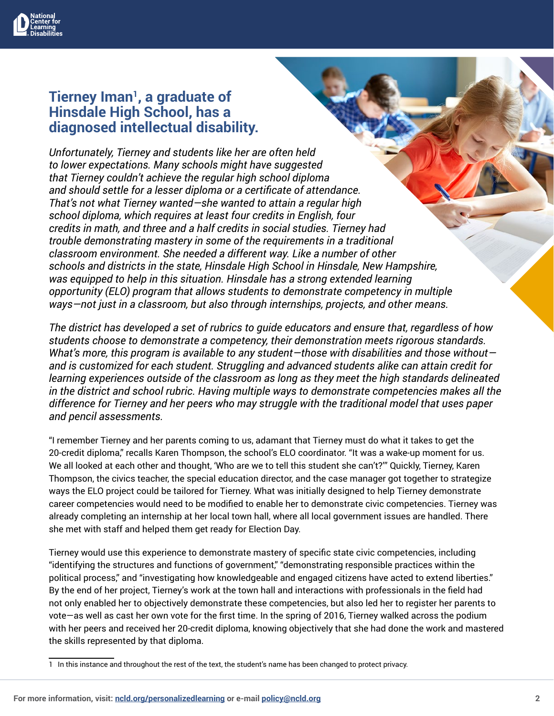

#### **Tierney Iman1, a graduate of Hinsdale High School, has a diagnosed intellectual disability.**

*Unfortunately, Tierney and students like her are often held to lower expectations. Many schools might have suggested that Tierney couldn't achieve the regular high school diploma and should settle for a lesser diploma or a certificate of attendance. That's not what Tierney wanted—she wanted to attain a regular high school diploma, which requires at least four credits in English, four credits in math, and three and a half credits in social studies. Tierney had trouble demonstrating mastery in some of the requirements in a traditional classroom environment. She needed a different way. Like a number of other schools and districts in the state, Hinsdale High School in Hinsdale, New Hampshire, was equipped to help in this situation. Hinsdale has a strong extended learning opportunity (ELO) program that allows students to demonstrate competency in multiple ways—not just in a classroom, but also through internships, projects, and other means.* 

*The district has developed a set of rubrics to guide educators and ensure that, regardless of how students choose to demonstrate a competency, their demonstration meets rigorous standards. What's more, this program is available to any student—those with disabilities and those without and is customized for each student. Struggling and advanced students alike can attain credit for learning experiences outside of the classroom as long as they meet the high standards delineated in the district and school rubric. Having multiple ways to demonstrate competencies makes all the difference for Tierney and her peers who may struggle with the traditional model that uses paper and pencil assessments.*

"I remember Tierney and her parents coming to us, adamant that Tierney must do what it takes to get the 20-credit diploma," recalls Karen Thompson, the school's ELO coordinator. "It was a wake-up moment for us. We all looked at each other and thought, 'Who are we to tell this student she can't?'" Quickly, Tierney, Karen Thompson, the civics teacher, the special education director, and the case manager got together to strategize ways the ELO project could be tailored for Tierney. What was initially designed to help Tierney demonstrate career competencies would need to be modified to enable her to demonstrate civic competencies. Tierney was already completing an internship at her local town hall, where all local government issues are handled. There she met with staff and helped them get ready for Election Day.

Tierney would use this experience to demonstrate mastery of specific state civic competencies, including "identifying the structures and functions of government," "demonstrating responsible practices within the political process," and "investigating how knowledgeable and engaged citizens have acted to extend liberties." By the end of her project, Tierney's work at the town hall and interactions with professionals in the field had not only enabled her to objectively demonstrate these competencies, but also led her to register her parents to vote—as well as cast her own vote for the first time. In the spring of 2016, Tierney walked across the podium with her peers and received her 20-credit diploma, knowing objectively that she had done the work and mastered the skills represented by that diploma.

<sup>1</sup> In this instance and throughout the rest of the text, the student's name has been changed to protect privacy.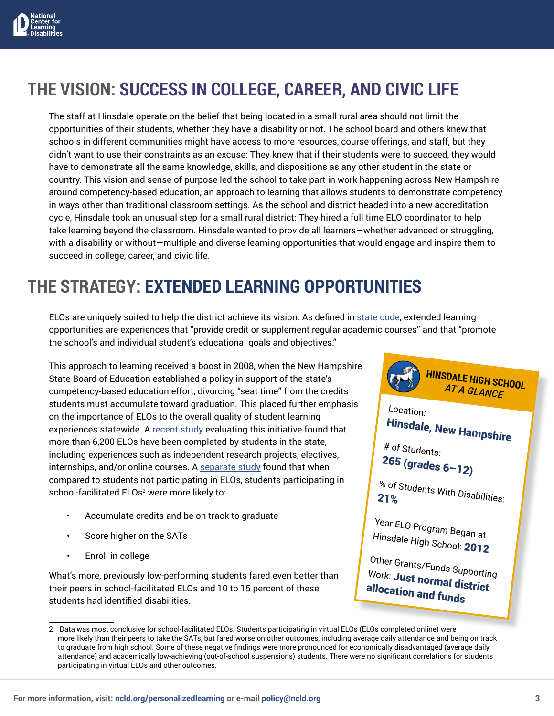

## **THE VISION: SUCCESS IN COLLEGE, CAREER, AND CIVIC LIFE**

The staff at Hinsdale operate on the belief that being located in a small rural area should not limit the opportunities of their students, whether they have a disability or not. The school board and others knew that schools in different communities might have access to more resources, course offerings, and staff, but they didn't want to use their constraints as an excuse: They knew that if their students were to succeed, they would have to demonstrate all the same knowledge, skills, and dispositions as any other student in the state or country. This vision and sense of purpose led the school to take part in work happening across New Hampshire around competency-based education, an approach to learning that allows students to demonstrate competency in ways other than traditional classroom settings. As the school and district headed into a new accreditation cycle, Hinsdale took an unusual step for a small rural district: They hired a full time ELO coordinator to help take learning beyond the classroom. Hinsdale wanted to provide all learners—whether advanced or struggling, with a disability or without—multiple and diverse learning opportunities that would engage and inspire them to succeed in college, career, and civic life.

#### **THE STRATEGY: EXTENDED LEARNING OPPORTUNITIES**

ELOs are uniquely suited to help the district achieve its vision. As defined in [state code,](mailto:http://nheon.org/oet/tpguide/Ed306.27.htm?subject=) extended learning opportunities are experiences that "provide credit or supplement regular academic courses" and that "promote the school's and individual student's educational goals and objectives."

This approach to learning received a boost in 2008, when the New Hampshire State Board of Education established a policy in support of the state's competency-based education effort, divorcing "seat time" from the credits students must accumulate toward graduation. This placed further emphasis on the importance of ELOs to the overall quality of student learning experiences statewide. A [recent study](mailto:http://education.nh.gov/innovations/elo/documents/evaluation.pdf?subject=) evaluating this initiative found that more than 6,200 ELOs have been completed by students in the state, including experiences such as independent research projects, electives, internships, and/or online courses. A [separate study](mailto:https://www.nmefoundation.org/getattachment/9f8b05d0-1ac6-4364-84d3-4c8233ecd6dd/NMEF-ELO-v3.pdf%3Fext%3D.pdf?subject=) found that when compared to students not participating in ELOs, students participating in school-facilitated ELOs<sup>2</sup> were more likely to:

- Accumulate credits and be on track to graduate
- Score higher on the SATs
- Enroll in college

What's more, previously low-performing students fared even better than their peers in school-facilitated ELOs and 10 to 15 percent of these students had identified disabilities.



<sup>2</sup> Data was most conclusive for school-facilitated ELOs. Students participating in virtual ELOs (ELOs completed online) were more likely than their peers to take the SATs, but fared worse on other outcomes, including average daily attendance and being on track to graduate from high school. Some of these negative findings were more pronounced for economically disadvantaged (average daily attendance) and academically low-achieving (out-of-school suspensions) students. There were no significant correlations for students participating in virtual ELOs and other outcomes.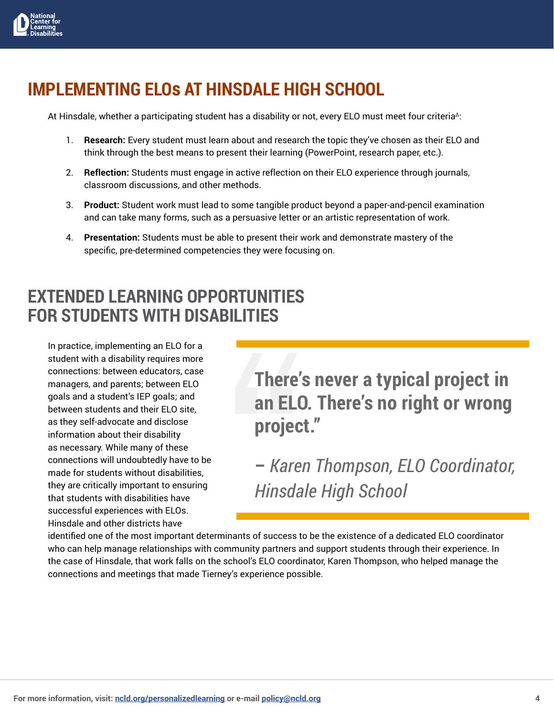

#### **IMPLEMENTING ELOs AT HINSDALE HIGH SCHOOL**

At Hinsdale, whether a participating student has a disability or not, every ELO must meet four criteria<sup>∆</sup>:

- 1. **Research:** Every student must learn about and research the topic they've chosen as their ELO and think through the best means to present their learning (PowerPoint, research paper, etc.).
- 2. **Reflection:** Students must engage in active reflection on their ELO experience through journals, classroom discussions, and other methods.
- 3. **Product:** Student work must lead to some tangible product beyond a paper-and-pencil examination and can take many forms, such as a persuasive letter or an artistic representation of work.
- 4. **Presentation:** Students must be able to present their work and demonstrate mastery of the specific, pre-determined competencies they were focusing on.

#### **EXTENDED LEARNING OPPORTUNITIES FOR STUDENTS WITH DISABILITIES**

In practice, implementing an ELO for a student with a disability requires more connections: between educators, case managers, and parents; between ELO goals and a student's IEP goals; and between students and their ELO site, as they self-advocate and disclose information about their disability as necessary. While many of these connections will undoubtedly have to be made for students without disabilities, they are critically important to ensuring that students with disabilities have successful experiences with ELOs. Hinsdale and other districts have

### **There's never a typical project in an ELO. There's no right or wrong project."**

**–** *Karen Thompson, ELO Coordinator, Hinsdale High School*

identified one of the most important determinants of success to be the existence of a dedicated ELO coordinator who can help manage relationships with community partners and support students through their experience. In the case of Hinsdale, that work falls on the school's ELO coordinator, Karen Thompson, who helped manage the connections and meetings that made Tierney's experience possible.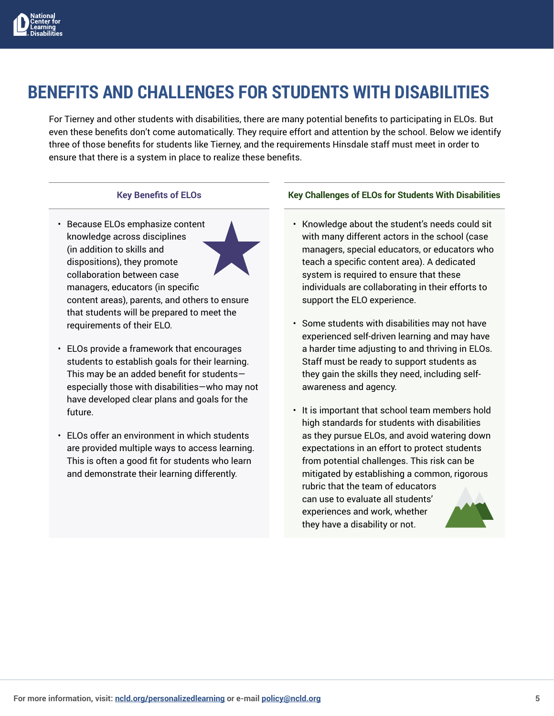

### **BENEFITS AND CHALLENGES FOR STUDENTS WITH DISABILITIES**

For Tierney and other students with disabilities, there are many potential benefits to participating in ELOs. But even these benefits don't come automatically. They require effort and attention by the school. Below we identify three of those benefits for students like Tierney, and the requirements Hinsdale staff must meet in order to ensure that there is a system in place to realize these benefits.

#### **Key Benefits of ELOs**

- Because ELOs emphasize content knowledge across disciplines (in addition to skills and dispositions), they promote collaboration between case managers, educators (in specific content areas), parents, and others to ensure that students will be prepared to meet the requirements of their ELO.
- ELOs provide a framework that encourages students to establish goals for their learning. This may be an added benefit for students especially those with disabilities—who may not have developed clear plans and goals for the future.
- ELOs offer an environment in which students are provided multiple ways to access learning. This is often a good fit for students who learn and demonstrate their learning differently.

#### **Key Challenges of ELOs for Students With Disabilities**

- Knowledge about the student's needs could sit with many different actors in the school (case managers, special educators, or educators who teach a specific content area). A dedicated system is required to ensure that these individuals are collaborating in their efforts to support the ELO experience.
- Some students with disabilities may not have experienced self-driven learning and may have a harder time adjusting to and thriving in ELOs. Staff must be ready to support students as they gain the skills they need, including selfawareness and agency.
- It is important that school team members hold high standards for students with disabilities as they pursue ELOs, and avoid watering down expectations in an effort to protect students from potential challenges. This risk can be mitigated by establishing a common, rigorous rubric that the team of educators can use to evaluate all students' experiences and work, whether they have a disability or not.